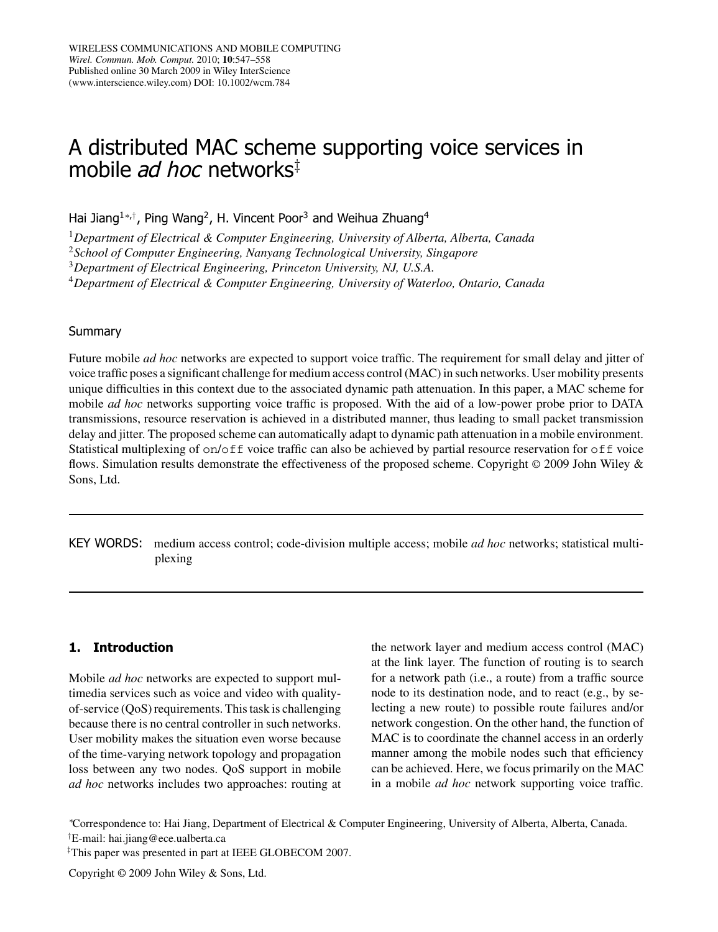# A distributed MAC scheme supporting voice services in mobile *ad hoc* networks‡

Hai Jiang<sup>1</sup>\*<sup>,†</sup>, Ping Wang<sup>2</sup>, H. Vincent Poor<sup>3</sup> and Weihua Zhuang<sup>4</sup>

<sup>1</sup>*Department of Electrical & Computer Engineering, University of Alberta, Alberta, Canada*

<sup>2</sup>*School of Computer Engineering, Nanyang Technological University, Singapore*

<sup>3</sup>*Department of Electrical Engineering, Princeton University, NJ, U.S.A.*

<sup>4</sup>*Department of Electrical & Computer Engineering, University of Waterloo, Ontario, Canada*

## **Summary**

Future mobile *ad hoc* networks are expected to support voice traffic. The requirement for small delay and jitter of voice traffic poses a significant challenge for medium access control (MAC) in such networks. User mobility presents unique difficulties in this context due to the associated dynamic path attenuation. In this paper, a MAC scheme for mobile *ad hoc* networks supporting voice traffic is proposed. With the aid of a low-power probe prior to DATA transmissions, resource reservation is achieved in a distributed manner, thus leading to small packet transmission delay and jitter. The proposed scheme can automatically adapt to dynamic path attenuation in a mobile environment. Statistical multiplexing of on/off voice traffic can also be achieved by partial resource reservation for off voice flows. Simulation results demonstrate the effectiveness of the proposed scheme. Copyright © 2009 John Wiley & Sons, Ltd.

KEY WORDS: medium access control; code-division multiple access; mobile *ad hoc* networks; statistical multiplexing

# **1. Introduction**

Mobile *ad hoc* networks are expected to support multimedia services such as voice and video with qualityof-service (QoS) requirements. This task is challenging because there is no central controller in such networks. User mobility makes the situation even worse because of the time-varying network topology and propagation loss between any two nodes. QoS support in mobile *ad hoc* networks includes two approaches: routing at the network layer and medium access control (MAC) at the link layer. The function of routing is to search for a network path (i.e., a route) from a traffic source node to its destination node, and to react (e.g., by selecting a new route) to possible route failures and/or network congestion. On the other hand, the function of MAC is to coordinate the channel access in an orderly manner among the mobile nodes such that efficiency can be achieved. Here, we focus primarily on the MAC in a mobile *ad hoc* network supporting voice traffic.

∗ Correspondence to: Hai Jiang, Department of Electrical & Computer Engineering, University of Alberta, Alberta, Canada. † E-mail: hai.jiang@ece.ualberta.ca

‡ This paper was presented in part at IEEE GLOBECOM 2007.

Copyright © 2009 John Wiley & Sons, Ltd.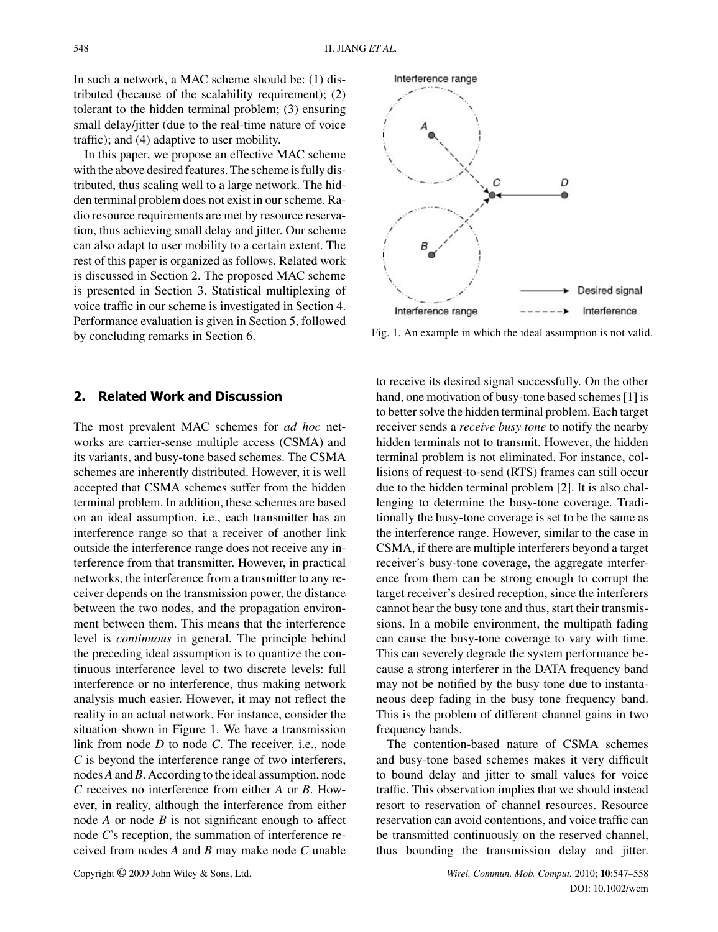In such a network, a MAC scheme should be: (1) distributed (because of the scalability requirement); (2) tolerant to the hidden terminal problem; (3) ensuring small delay/jitter (due to the real-time nature of voice traffic); and (4) adaptive to user mobility.

In this paper, we propose an effective MAC scheme with the above desired features. The scheme is fully distributed, thus scaling well to a large network. The hidden terminal problem does not exist in our scheme. Radio resource requirements are met by resource reservation, thus achieving small delay and jitter. Our scheme can also adapt to user mobility to a certain extent. The rest of this paper is organized as follows. Related work is discussed in Section 2. The proposed MAC scheme is presented in Section 3. Statistical multiplexing of voice traffic in our scheme is investigated in Section 4. Performance evaluation is given in Section 5, followed by concluding remarks in Section 6.

## **2. Related Work and Discussion**

The most prevalent MAC schemes for *ad hoc* networks are carrier-sense multiple access (CSMA) and its variants, and busy-tone based schemes. The CSMA schemes are inherently distributed. However, it is well accepted that CSMA schemes suffer from the hidden terminal problem. In addition, these schemes are based on an ideal assumption, i.e., each transmitter has an interference range so that a receiver of another link outside the interference range does not receive any interference from that transmitter. However, in practical networks, the interference from a transmitter to any receiver depends on the transmission power, the distance between the two nodes, and the propagation environment between them. This means that the interference level is *continuous* in general. The principle behind the preceding ideal assumption is to quantize the continuous interference level to two discrete levels: full interference or no interference, thus making network analysis much easier. However, it may not reflect the reality in an actual network. For instance, consider the situation shown in Figure 1. We have a transmission link from node *D* to node *C*. The receiver, i.e., node *C* is beyond the interference range of two interferers, nodes *A* and *B*. According to the ideal assumption, node *C* receives no interference from either *A* or *B*. However, in reality, although the interference from either node *A* or node *B* is not significant enough to affect node *C*'s reception, the summation of interference received from nodes *A* and *B* may make node *C* unable



Fig. 1. An example in which the ideal assumption is not valid.

to receive its desired signal successfully. On the other hand, one motivation of busy-tone based schemes [\[1\] is](#page-9-0) to better solve the hidden terminal problem. Each target receiver sends a *receive busy tone* to notify the nearby hidden terminals not to transmit. However, the hidden terminal problem is not eliminated. For instance, collisions of request-to-send (RTS) frames can still occur due to the hidden terminal problem [\[2\].](#page-9-0) It is also challenging to determine the busy-tone coverage. Traditionally the busy-tone coverage is set to be the same as the interference range. However, similar to the case in CSMA, if there are multiple interferers beyond a target receiver's busy-tone coverage, the aggregate interference from them can be strong enough to corrupt the target receiver's desired reception, since the interferers cannot hear the busy tone and thus, start their transmissions. In a mobile environment, the multipath fading can cause the busy-tone coverage to vary with time. This can severely degrade the system performance because a strong interferer in the DATA frequency band may not be notified by the busy tone due to instantaneous deep fading in the busy tone frequency band. This is the problem of different channel gains in two frequency bands.

The contention-based nature of CSMA schemes and busy-tone based schemes makes it very difficult to bound delay and jitter to small values for voice traffic. This observation implies that we should instead resort to reservation of channel resources. Resource reservation can avoid contentions, and voice traffic can be transmitted continuously on the reserved channel, thus bounding the transmission delay and jitter.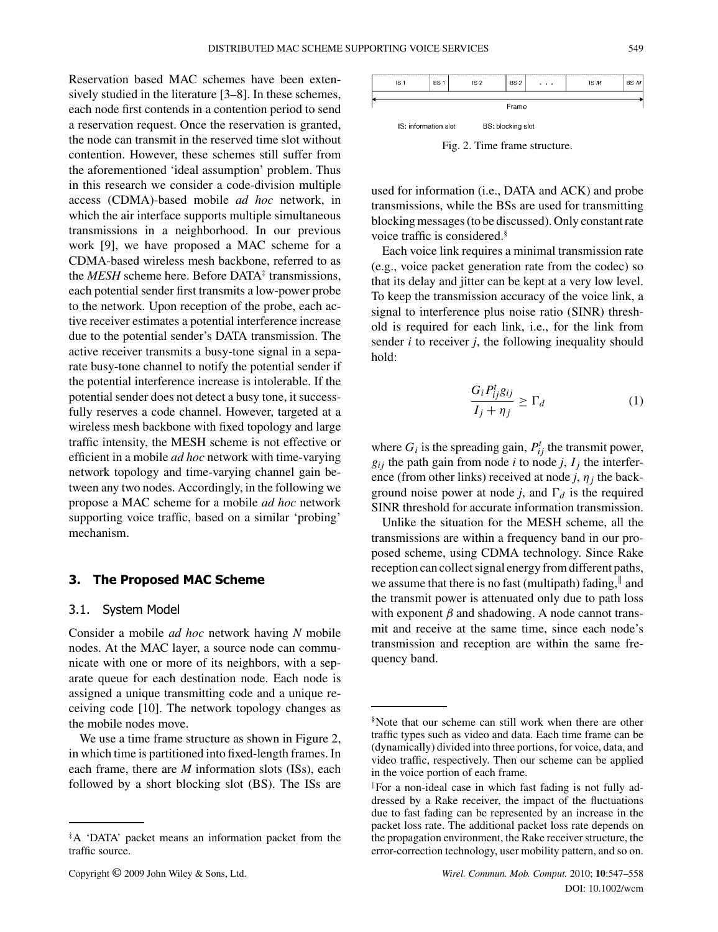Reservation based MAC schemes have been extensively studied in the literature [\[3–8\].](#page-9-0) In these schemes, each node first contends in a contention period to send a reservation request. Once the reservation is granted, the node can transmit in the reserved time slot without contention. However, these schemes still suffer from the aforementioned 'ideal assumption' problem. Thus in this research we consider a code-division multiple access (CDMA)-based mobile *ad hoc* network, in which the air interface supports multiple simultaneous transmissions in a neighborhood. In our previous work [\[9\],](#page-10-0) we have proposed a MAC scheme for a CDMA-based wireless mesh backbone, referred to as the *MESH* scheme here. Before DATA<sup>‡</sup> transmissions, each potential sender first transmits a low-power probe to the network. Upon reception of the probe, each active receiver estimates a potential interference increase due to the potential sender's DATA transmission. The active receiver transmits a busy-tone signal in a separate busy-tone channel to notify the potential sender if the potential interference increase is intolerable. If the potential sender does not detect a busy tone, it successfully reserves a code channel. However, targeted at a wireless mesh backbone with fixed topology and large traffic intensity, the MESH scheme is not effective or efficient in a mobile *ad hoc* network with time-varying network topology and time-varying channel gain between any two nodes. Accordingly, in the following we propose a MAC scheme for a mobile *ad hoc* network supporting voice traffic, based on a similar 'probing' mechanism.

## **3. The Proposed MAC Scheme**

#### 3.1. System Model

Consider a mobile *ad hoc* network having *N* mobile nodes. At the MAC layer, a source node can communicate with one or more of its neighbors, with a separate queue for each destination node. Each node is assigned a unique transmitting code and a unique receiving code [\[10\].](#page-10-0) The network topology changes as the mobile nodes move.

We use a time frame structure as shown in Figure 2. in which time is partitioned into fixed-length frames. In each frame, there are *M* information slots (ISs), each followed by a short blocking slot (BS). The ISs are



Fig. 2. Time frame structure.

used for information (i.e., DATA and ACK) and probe transmissions, while the BSs are used for transmitting blocking messages (to be discussed). Only constant rate voice traffic is considered.§

Each voice link requires a minimal transmission rate (e.g., voice packet generation rate from the codec) so that its delay and jitter can be kept at a very low level. To keep the transmission accuracy of the voice link, a signal to interference plus noise ratio (SINR) threshold is required for each link, i.e., for the link from sender *i* to receiver *j*, the following inequality should hold:

$$
\frac{G_i P_{ij}^t g_{ij}}{I_j + \eta_j} \ge \Gamma_d \tag{1}
$$

where  $G_i$  is the spreading gain,  $P_{ij}^t$  the transmit power,  $g_{ij}$  the path gain from node *i* to node *j*,  $I_j$  the interference (from other links) received at node  $j$ ,  $\eta_j$  the background noise power at node *j*, and  $\Gamma_d$  is the required SINR threshold for accurate information transmission.

Unlike the situation for the MESH scheme, all the transmissions are within a frequency band in our proposed scheme, using CDMA technology. Since Rake reception can collect signal energy from different paths, we assume that there is no fast (multipath) fading, $\parallel$  and the transmit power is attenuated only due to path loss with exponent  $\beta$  and shadowing. A node cannot transmit and receive at the same time, since each node's transmission and reception are within the same frequency band.

<sup>‡</sup>A 'DATA' packet means an information packet from the traffic source.

<sup>§</sup>Note that our scheme can still work when there are other traffic types such as video and data. Each time frame can be (dynamically) divided into three portions, for voice, data, and video traffic, respectively. Then our scheme can be applied in the voice portion of each frame.

For a non-ideal case in which fast fading is not fully addressed by a Rake receiver, the impact of the fluctuations due to fast fading can be represented by an increase in the packet loss rate. The additional packet loss rate depends on the propagation environment, the Rake receiver structure, the error-correction technology, user mobility pattern, and so on.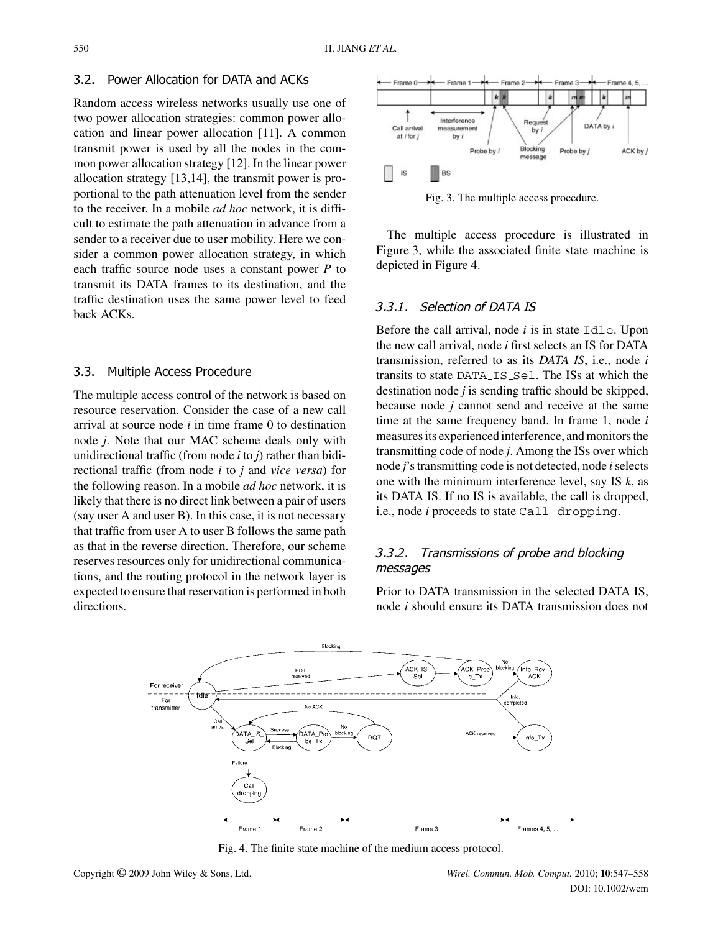## 3.2. Power Allocation for DATA and ACKs

Random access wireless networks usually use one of two power allocation strategies: common power allocation and linear power allocation [\[11\].](#page-10-0) A common transmit power is used by all the nodes in the common power allocation strategy [\[12\]. I](#page-10-0)n the linear power allocation strategy [\[13,14\],](#page-10-0) the transmit power is proportional to the path attenuation level from the sender to the receiver. In a mobile *ad hoc* network, it is difficult to estimate the path attenuation in advance from a sender to a receiver due to user mobility. Here we consider a common power allocation strategy, in which each traffic source node uses a constant power *P* to transmit its DATA frames to its destination, and the traffic destination uses the same power level to feed back ACKs.

#### 3.3. Multiple Access Procedure

The multiple access control of the network is based on resource reservation. Consider the case of a new call arrival at source node *i* in time frame 0 to destination node *j*. Note that our MAC scheme deals only with unidirectional traffic (from node *i* to *j*) rather than bidirectional traffic (from node *i* to *j* and *vice versa*) for the following reason. In a mobile *ad hoc* network, it is likely that there is no direct link between a pair of users (say user A and user B). In this case, it is not necessary that traffic from user A to user B follows the same path as that in the reverse direction. Therefore, our scheme reserves resources only for unidirectional communications, and the routing protocol in the network layer is expected to ensure that reservation is performed in both directions.



Fig. 3. The multiple access procedure.

The multiple access procedure is illustrated in Figure 3, while the associated finite state machine is depicted in Figure 4.

### *3.3.1. Selection of DATA IS*

Before the call arrival, node *i* is in state Idle. Upon the new call arrival, node *i* first selects an IS for DATA transmission, referred to as its *DATA IS*, i.e., node *i* transits to state DATA\_IS\_Sel. The ISs at which the destination node *j* is sending traffic should be skipped, because node *j* cannot send and receive at the same time at the same frequency band. In frame 1, node *i* measures its experienced interference, and monitors the transmitting code of node *j*. Among the ISs over which node *j*'s transmitting code is not detected, node *i*selects one with the minimum interference level, say IS *k*, as its DATA IS. If no IS is available, the call is dropped, i.e., node *i* proceeds to state Call dropping.

## *3.3.2. Transmissions of probe and blocking messages*

Prior to DATA transmission in the selected DATA IS, node *i* should ensure its DATA transmission does not



Fig. 4. The finite state machine of the medium access protocol.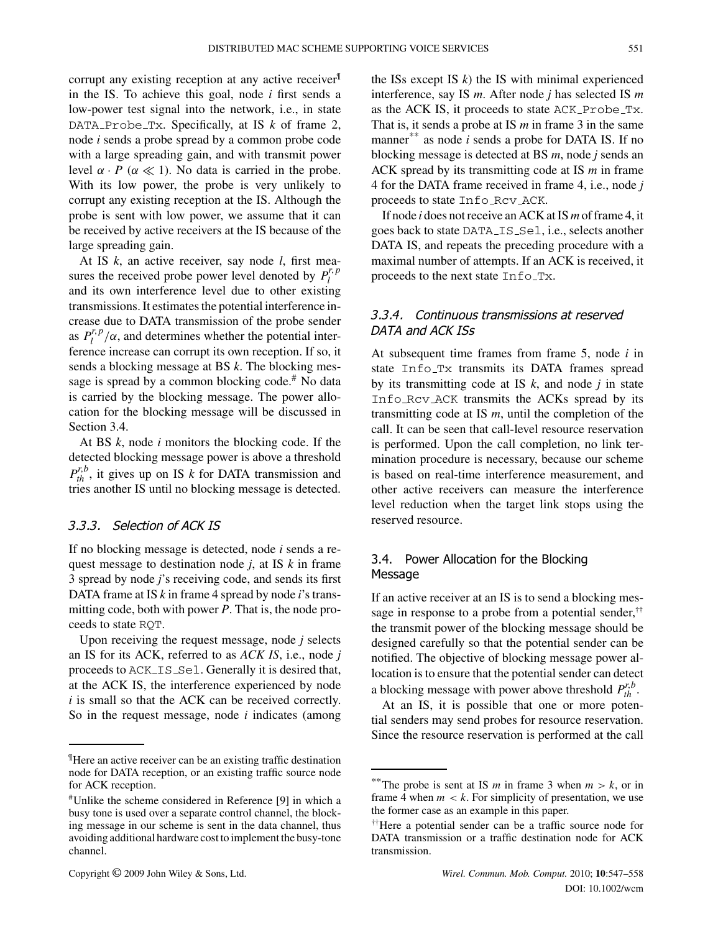corrupt any existing reception at any active receiver in the IS. To achieve this goal, node *i* first sends a low-power test signal into the network, i.e., in state DATA Probe Tx. Specifically, at IS *k* of frame 2, node *i* sends a probe spread by a common probe code with a large spreading gain, and with transmit power level  $\alpha \cdot P$  ( $\alpha \ll 1$ ). No data is carried in the probe. With its low power, the probe is very unlikely to corrupt any existing reception at the IS. Although the probe is sent with low power, we assume that it can be received by active receivers at the IS because of the large spreading gain.

At IS *k*, an active receiver, say node *l*, first measures the received probe power level denoted by  $P_l^{r,p}$ and its own interference level due to other existing transmissions. It estimates the potential interference increase due to DATA transmission of the probe sender as  $P_l^{r,p}/\alpha$ , and determines whether the potential interference increase can corrupt its own reception. If so, it sends a blocking message at BS *k*. The blocking message is spread by a common blocking code.<sup>#</sup> No data is carried by the blocking message. The power allocation for the blocking message will be discussed in Section 3.4.

At BS *k*, node *i* monitors the blocking code. If the detected blocking message power is above a threshold  $P_{th}^{r,b}$ , it gives up on IS *k* for DATA transmission and tries another IS until no blocking message is detected.

# *3.3.3. Selection of ACK IS*

If no blocking message is detected, node *i* sends a request message to destination node *j*, at IS *k* in frame 3 spread by node *j*'s receiving code, and sends its first DATA frame at IS *k* in frame 4 spread by node *i*'s transmitting code, both with power *P*. That is, the node proceeds to state RQT.

Upon receiving the request message, node *j* selects an IS for its ACK, referred to as *ACK IS*, i.e., node *j* proceeds to ACK\_IS\_Se1. Generally it is desired that, at the ACK IS, the interference experienced by node *i* is small so that the ACK can be received correctly. So in the request message, node *i* indicates (among the ISs except IS  $k$ ) the IS with minimal experienced interference, say IS *m*. After node *j* has selected IS *m* as the ACK IS, it proceeds to state ACK\_Probe\_Tx. That is, it sends a probe at IS *m* in frame 3 in the same manner\*\* as node  $i$  sends a probe for DATA IS. If no blocking message is detected at BS *m*, node *j* sends an ACK spread by its transmitting code at IS *m* in frame 4 for the DATA frame received in frame 4, i.e., node *j* proceeds to state Info\_Rcv\_ACK.

If node *i* does not receive an ACK at IS *m* of frame 4, it goes back to state DATA\_IS\_Sel, i.e., selects another DATA IS, and repeats the preceding procedure with a maximal number of attempts. If an ACK is received, it proceeds to the next state Info\_Tx.

# *3.3.4. Continuous transmissions at reserved DATA and ACK ISs*

At subsequent time frames from frame 5, node *i* in state Info Tx transmits its DATA frames spread by its transmitting code at IS *k*, and node *j* in state Info Rcv ACK transmits the ACKs spread by its transmitting code at IS *m*, until the completion of the call. It can be seen that call-level resource reservation is performed. Upon the call completion, no link termination procedure is necessary, because our scheme is based on real-time interference measurement, and other active receivers can measure the interference level reduction when the target link stops using the reserved resource.

## 3.4. Power Allocation for the Blocking Message

If an active receiver at an IS is to send a blocking message in response to a probe from a potential sender,<sup>††</sup> the transmit power of the blocking message should be designed carefully so that the potential sender can be notified. The objective of blocking message power allocation is to ensure that the potential sender can detect a blocking message with power above threshold  $P_{th}^{r,b}$ .

At an IS, it is possible that one or more potential senders may send probes for resource reservation. Since the resource reservation is performed at the call

<sup>¶</sup> Here an active receiver can be an existing traffic destination node for DATA reception, or an existing traffic source node for ACK reception.

<sup>#</sup>Unlike the scheme considered in Reference [\[9\] in](#page-10-0) which a busy tone is used over a separate control channel, the blocking message in our scheme is sent in the data channel, thus avoiding additional hardware cost to implement the busy-tone channel.

<sup>\*\*</sup>The probe is sent at IS *m* in frame 3 when  $m > k$ , or in frame 4 when  $m < k$ . For simplicity of presentation, we use the former case as an example in this paper.

<sup>††</sup>Here a potential sender can be a traffic source node for DATA transmission or a traffic destination node for ACK transmission.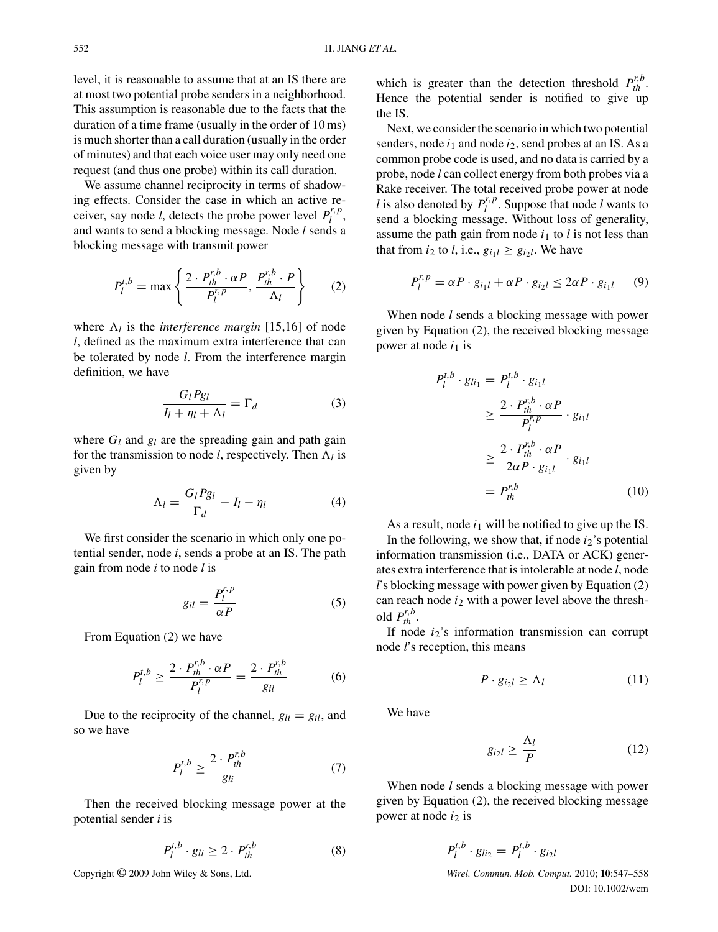level, it is reasonable to assume that at an IS there are at most two potential probe senders in a neighborhood. This assumption is reasonable due to the facts that the duration of a time frame (usually in the order of 10 ms) is much shorter than a call duration (usually in the order of minutes) and that each voice user may only need one request (and thus one probe) within its call duration.

We assume channel reciprocity in terms of shadowing effects. Consider the case in which an active receiver, say node *l*, detects the probe power level  $P_l^{r,p}$ , and wants to send a blocking message. Node *l* sends a blocking message with transmit power

$$
P_l^{t,b} = \max\left\{\frac{2 \cdot P_{th}^{r,b} \cdot \alpha P}{P_l^{r,p}}, \frac{P_{th}^{r,b} \cdot P}{\Lambda_l}\right\} \qquad (2)
$$

where  $\Lambda_l$  is the *interference margin* [\[15,16\] o](#page-10-0)f node *l*, defined as the maximum extra interference that can be tolerated by node *l*. From the interference margin definition, we have

$$
\frac{G_l P g_l}{I_l + \eta_l + \Lambda_l} = \Gamma_d \tag{3}
$$

where  $G_l$  and  $g_l$  are the spreading gain and path gain for the transmission to node *l*, respectively. Then  $\Lambda_l$  is given by

$$
\Lambda_l = \frac{G_l P g_l}{\Gamma_d} - I_l - \eta_l \tag{4}
$$

We first consider the scenario in which only one potential sender, node *i*, sends a probe at an IS. The path gain from node *i* to node *l* is

$$
g_{il} = \frac{P_l^{r,p}}{\alpha P} \tag{5}
$$

From Equation (2) we have

$$
P_l^{t,b} \ge \frac{2 \cdot P_{th}^{r,b} \cdot \alpha P}{P_l^{r,p}} = \frac{2 \cdot P_{th}^{r,b}}{g_{il}} \tag{6}
$$

Due to the reciprocity of the channel,  $g_{li} = g_{il}$ , and so we have

$$
P_l^{t,b} \ge \frac{2 \cdot P_{th}^{r,b}}{g_{li}} \tag{7}
$$

Then the received blocking message power at the potential sender *i* is

$$
P_l^{t,b} \cdot g_{li} \ge 2 \cdot P_{th}^{r,b} \tag{8}
$$

which is greater than the detection threshold  $P_{th}^{r,b}$ . Hence the potential sender is notified to give up the IS.

Next, we consider the scenario in which two potential senders, node  $i_1$  and node  $i_2$ , send probes at an IS. As a common probe code is used, and no data is carried by a probe, node *l* can collect energy from both probes via a Rake receiver. The total received probe power at node *l* is also denoted by  $P_l^{r,p}$ . Suppose that node *l* wants to send a blocking message. Without loss of generality, assume the path gain from node  $i_1$  to  $l$  is not less than that from  $i_2$  to *l*, i.e.,  $g_{i_1l} \ge g_{i_2l}$ . We have

$$
P_l^{r,p} = \alpha P \cdot g_{i_1l} + \alpha P \cdot g_{i_2l} \le 2\alpha P \cdot g_{i_1l} \qquad (9)
$$

When node *l* sends a blocking message with power given by Equation (2), the received blocking message power at node  $i_1$  is

$$
P_l^{t,b} \cdot g_{li_1} = P_l^{t,b} \cdot g_{i_1l}
$$
  
\n
$$
\geq \frac{2 \cdot P_{th}^{r,b} \cdot \alpha P}{P_l^{r,p}} \cdot g_{i_1l}
$$
  
\n
$$
\geq \frac{2 \cdot P_{th}^{r,b} \cdot \alpha P}{2\alpha P \cdot g_{i_1l}} \cdot g_{i_1l}
$$
  
\n
$$
= P_{th}^{r,b}
$$
 (10)

As a result, node  $i_1$  will be notified to give up the IS. In the following, we show that, if node  $i_2$ 's potential information transmission (i.e., DATA or ACK) generates extra interference that is intolerable at node *l*, node *l*'s blocking message with power given by Equation (2) can reach node *i*<sup>2</sup> with a power level above the threshold  $P_{th}^{r,b}$ .

If node *i*2's information transmission can corrupt node *l*'s reception, this means

$$
P \cdot g_{i_2 l} \ge \Lambda_l \tag{11}
$$

We have

$$
g_{i_2l} \ge \frac{\Lambda_l}{P} \tag{12}
$$

When node *l* sends a blocking message with power given by Equation (2), the received blocking message power at node  $i_2$  is

$$
P_l^{t,b} \cdot g_{li_2} = P_l^{t,b} \cdot g_{i_2l}
$$

Copyright © 2009 John Wiley & Sons, Ltd. *Wirel. Commun. Mob. Comput.* 2010; **10**:547–558 DOI: 10.1002/wcm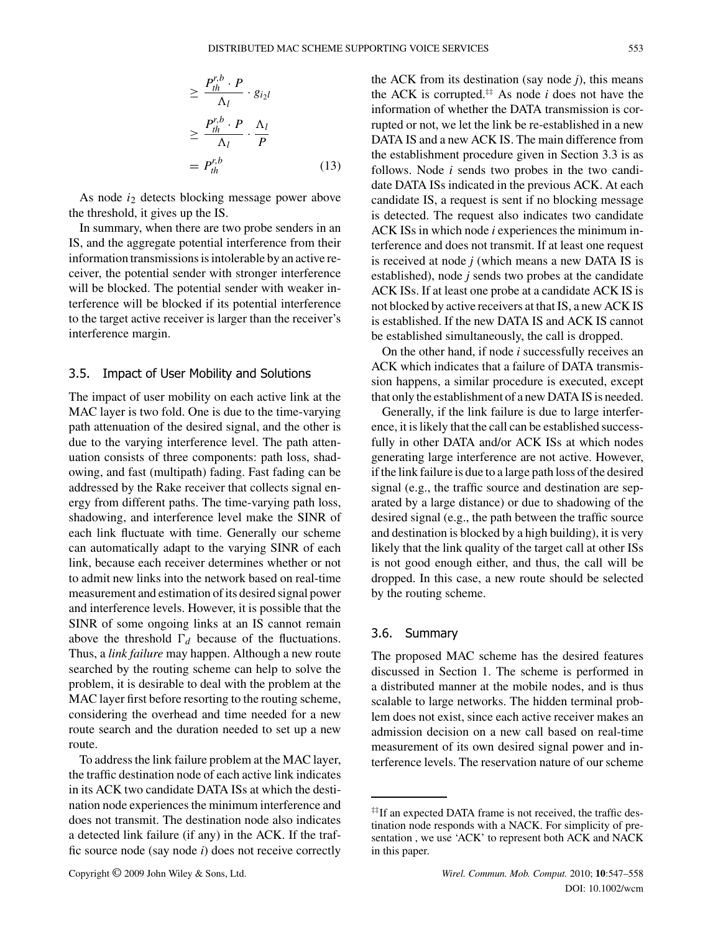$$
\geq \frac{P_{th}^{r,b} \cdot P}{\Lambda_l} \cdot g_{i_2l}
$$

$$
\geq \frac{P_{th}^{r,b} \cdot P}{\Lambda_l} \cdot \frac{\Lambda_l}{P}
$$

$$
= P_{th}^{r,b} \tag{13}
$$

As node *i*<sup>2</sup> detects blocking message power above the threshold, it gives up the IS.

In summary, when there are two probe senders in an IS, and the aggregate potential interference from their information transmissions is intolerable by an active receiver, the potential sender with stronger interference will be blocked. The potential sender with weaker interference will be blocked if its potential interference to the target active receiver is larger than the receiver's interference margin.

# 3.5. Impact of User Mobility and Solutions

The impact of user mobility on each active link at the MAC layer is two fold. One is due to the time-varying path attenuation of the desired signal, and the other is due to the varying interference level. The path attenuation consists of three components: path loss, shadowing, and fast (multipath) fading. Fast fading can be addressed by the Rake receiver that collects signal energy from different paths. The time-varying path loss, shadowing, and interference level make the SINR of each link fluctuate with time. Generally our scheme can automatically adapt to the varying SINR of each link, because each receiver determines whether or not to admit new links into the network based on real-time measurement and estimation of its desired signal power and interference levels. However, it is possible that the SINR of some ongoing links at an IS cannot remain above the threshold  $\Gamma_d$  because of the fluctuations. Thus, a *link failure* may happen. Although a new route searched by the routing scheme can help to solve the problem, it is desirable to deal with the problem at the MAC layer first before resorting to the routing scheme, considering the overhead and time needed for a new route search and the duration needed to set up a new route.

To address the link failure problem at the MAC layer, the traffic destination node of each active link indicates in its ACK two candidate DATA ISs at which the destination node experiences the minimum interference and does not transmit. The destination node also indicates a detected link failure (if any) in the ACK. If the traffic source node (say node *i*) does not receive correctly the ACK from its destination (say node *j*), this means the ACK is corrupted.<sup> $\ddagger\ddagger$ </sup> As node *i* does not have the information of whether the DATA transmission is corrupted or not, we let the link be re-established in a new DATA IS and a new ACK IS. The main difference from the establishment procedure given in Section 3.3 is as follows. Node *i* sends two probes in the two candidate DATA ISs indicated in the previous ACK. At each candidate IS, a request is sent if no blocking message is detected. The request also indicates two candidate ACK ISs in which node *i* experiences the minimum interference and does not transmit. If at least one request is received at node *j* (which means a new DATA IS is established), node *j* sends two probes at the candidate ACK ISs. If at least one probe at a candidate ACK IS is not blocked by active receivers at that IS, a new ACK IS is established. If the new DATA IS and ACK IS cannot be established simultaneously, the call is dropped.

On the other hand, if node *i* successfully receives an ACK which indicates that a failure of DATA transmission happens, a similar procedure is executed, except that only the establishment of a new DATA IS is needed.

Generally, if the link failure is due to large interference, it is likely that the call can be established successfully in other DATA and/or ACK ISs at which nodes generating large interference are not active. However, if the link failure is due to a large path loss of the desired signal (e.g., the traffic source and destination are separated by a large distance) or due to shadowing of the desired signal (e.g., the path between the traffic source and destination is blocked by a high building), it is very likely that the link quality of the target call at other ISs is not good enough either, and thus, the call will be dropped. In this case, a new route should be selected by the routing scheme.

## 3.6. Summary

The proposed MAC scheme has the desired features discussed in Section 1. The scheme is performed in a distributed manner at the mobile nodes, and is thus scalable to large networks. The hidden terminal problem does not exist, since each active receiver makes an admission decision on a new call based on real-time measurement of its own desired signal power and interference levels. The reservation nature of our scheme

<sup>‡‡</sup>If an expected DATA frame is not received, the traffic destination node responds with a NACK. For simplicity of presentation , we use 'ACK' to represent both ACK and NACK in this paper.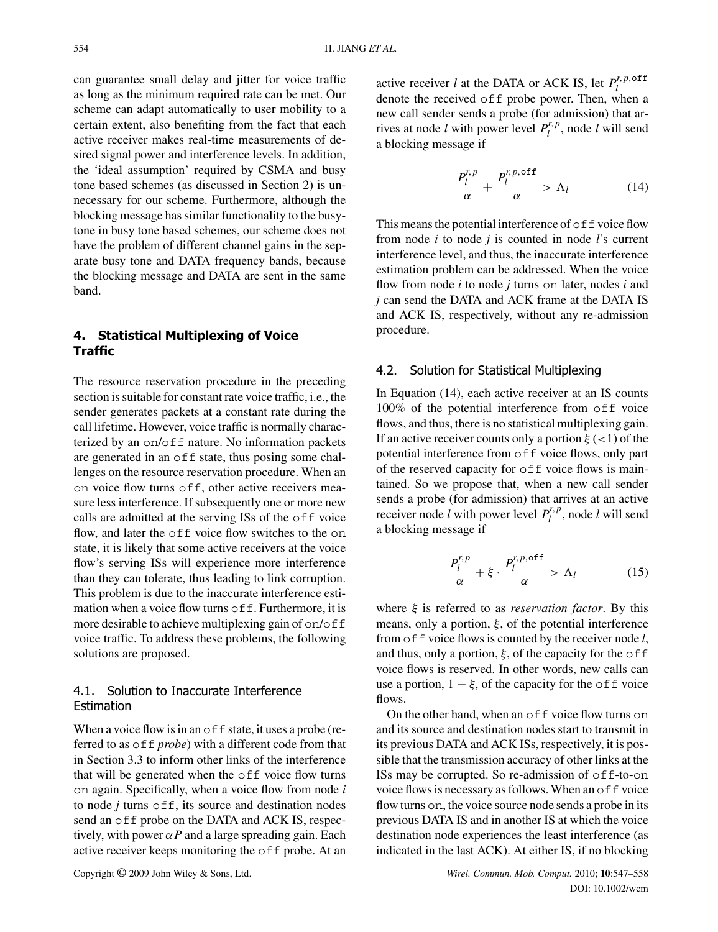can guarantee small delay and jitter for voice traffic as long as the minimum required rate can be met. Our scheme can adapt automatically to user mobility to a certain extent, also benefiting from the fact that each active receiver makes real-time measurements of desired signal power and interference levels. In addition, the 'ideal assumption' required by CSMA and busy tone based schemes (as discussed in Section 2) is unnecessary for our scheme. Furthermore, although the blocking message has similar functionality to the busytone in busy tone based schemes, our scheme does not have the problem of different channel gains in the separate busy tone and DATA frequency bands, because the blocking message and DATA are sent in the same band.

# **4. Statistical Multiplexing of Voice Traffic**

The resource reservation procedure in the preceding section is suitable for constant rate voice traffic, i.e., the sender generates packets at a constant rate during the call lifetime. However, voice traffic is normally characterized by an on/off nature. No information packets are generated in an off state, thus posing some challenges on the resource reservation procedure. When an on voice flow turns off, other active receivers measure less interference. If subsequently one or more new calls are admitted at the serving ISs of the off voice flow, and later the off voice flow switches to the on state, it is likely that some active receivers at the voice flow's serving ISs will experience more interference than they can tolerate, thus leading to link corruption. This problem is due to the inaccurate interference estimation when a voice flow turns of f. Furthermore, it is more desirable to achieve multiplexing gain of on/off voice traffic. To address these problems, the following solutions are proposed.

# 4.1. Solution to Inaccurate Interference Estimation

When a voice flow is in an  $\circ$  f f state, it uses a probe (referred to as  $of$  *f probe*) with a different code from that in Section 3.3 to inform other links of the interference that will be generated when the off voice flow turns on again. Specifically, when a voice flow from node *i* to node  $j$  turns  $\circ$  ff, its source and destination nodes send an  $\circ$  f probe on the DATA and ACK IS, respectively, with power  $\alpha P$  and a large spreading gain. Each active receiver keeps monitoring the off probe. At an

active receiver *l* at the DATA or ACK IS, let  $P_l^{r,p,\text{off}}$ denote the received off probe power. Then, when a new call sender sends a probe (for admission) that arrives at node *l* with power level  $P_l^{r,p}$ , node *l* will send a blocking message if

$$
\frac{P_l^{r,p}}{\alpha} + \frac{P_l^{r,p,\text{off}}}{\alpha} > \Lambda_l \tag{14}
$$

This means the potential interference of off voice flow from node *i* to node *j* is counted in node *l*'s current interference level, and thus, the inaccurate interference estimation problem can be addressed. When the voice flow from node *i* to node *j* turns on later, nodes *i* and *j* can send the DATA and ACK frame at the DATA IS and ACK IS, respectively, without any re-admission procedure.

#### 4.2. Solution for Statistical Multiplexing

In Equation (14), each active receiver at an IS counts 100% of the potential interference from off voice flows, and thus, there is no statistical multiplexing gain. If an active receiver counts only a portion *ξ* (*<*1) of the potential interference from  $\circ$  f f voice flows, only part of the reserved capacity for off voice flows is maintained. So we propose that, when a new call sender sends a probe (for admission) that arrives at an active receiver node *l* with power level  $P_l^{r,p}$ , node *l* will send a blocking message if

$$
\frac{P_l^{r,p}}{\alpha} + \xi \cdot \frac{P_l^{r,p,\text{off}}}{\alpha} > \Lambda_l \tag{15}
$$

where *ξ* is referred to as *reservation factor*. By this means, only a portion, *ξ*, of the potential interference from  $\circ$  f f voice flows is counted by the receiver node *l*, and thus, only a portion,  $\xi$ , of the capacity for the off voice flows is reserved. In other words, new calls can use a portion,  $1 - \xi$ , of the capacity for the off voice flows.

On the other hand, when an off voice flow turns on and its source and destination nodes start to transmit in its previous DATA and ACK ISs, respectively, it is possible that the transmission accuracy of other links at the ISs may be corrupted. So re-admission of off-to-on voice flows is necessary as follows. When an off voice flow turns on, the voice source node sends a probe in its previous DATA IS and in another IS at which the voice destination node experiences the least interference (as indicated in the last ACK). At either IS, if no blocking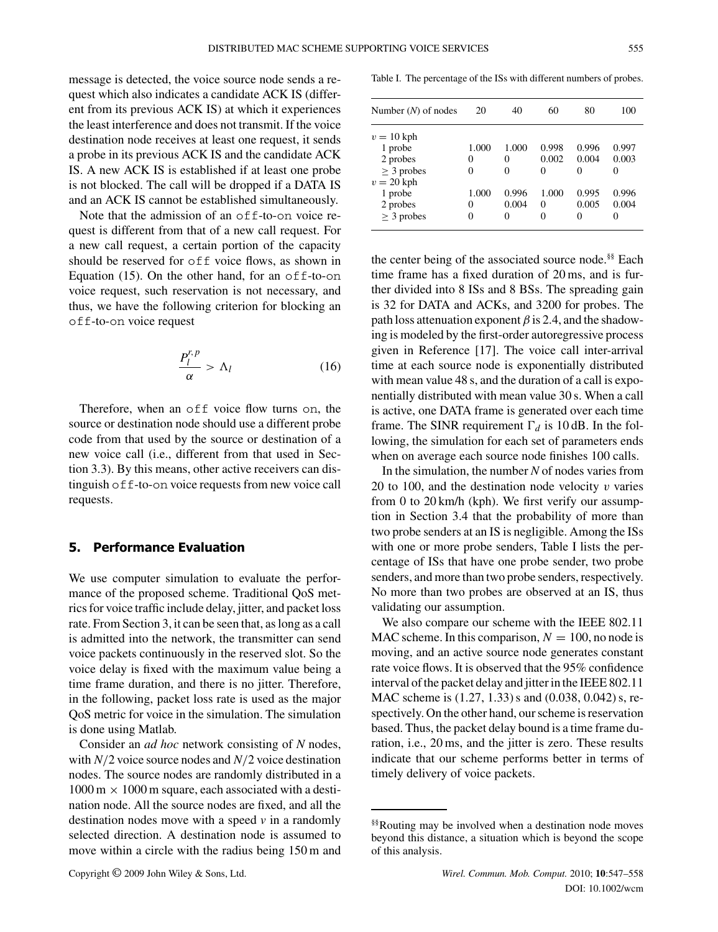message is detected, the voice source node sends a request which also indicates a candidate ACK IS (different from its previous ACK IS) at which it experiences the least interference and does not transmit. If the voice destination node receives at least one request, it sends a probe in its previous ACK IS and the candidate ACK IS. A new ACK IS is established if at least one probe is not blocked. The call will be dropped if a DATA IS and an ACK IS cannot be established simultaneously.

Note that the admission of an off-to-on voice request is different from that of a new call request. For a new call request, a certain portion of the capacity should be reserved for  $\circ$  ff voice flows, as shown in Equation  $(15)$ . On the other hand, for an off-to-on voice request, such reservation is not necessary, and thus, we have the following criterion for blocking an off-to-on voice request

$$
\frac{P_l^{r,p}}{\alpha} > \Lambda_l \tag{16}
$$

Therefore, when an off voice flow turns on, the source or destination node should use a different probe code from that used by the source or destination of a new voice call (i.e., different from that used in Section 3.3). By this means, other active receivers can distinguish off-to-on voice requests from new voice call requests.

# **5. Performance Evaluation**

We use computer simulation to evaluate the performance of the proposed scheme. Traditional QoS metrics for voice traffic include delay, jitter, and packet loss rate. From Section 3, it can be seen that, as long as a call is admitted into the network, the transmitter can send voice packets continuously in the reserved slot. So the voice delay is fixed with the maximum value being a time frame duration, and there is no jitter. Therefore, in the following, packet loss rate is used as the major QoS metric for voice in the simulation. The simulation is done using Matlab.

Consider an *ad hoc* network consisting of *N* nodes, with *N/*2 voice source nodes and *N/*2 voice destination nodes. The source nodes are randomly distributed in a  $1000 \text{ m} \times 1000 \text{ m}$  square, each associated with a destination node. All the source nodes are fixed, and all the destination nodes move with a speed *v* in a randomly selected direction. A destination node is assumed to move within a circle with the radius being 150 m and

Table I. The percentage of the ISs with different numbers of probes.

| Number $(N)$ of nodes | 20    | 40       | 60    | 80       | 100   |
|-----------------------|-------|----------|-------|----------|-------|
| $v = 10$ kph          |       |          |       |          |       |
| 1 probe               | 1.000 | 1.000    | 0.998 | 0.996    | 0.997 |
| 2 probes              | 0     | $\Omega$ | 0.002 | 0.004    | 0.003 |
| $\geq$ 3 probes       | 0     | $\Omega$ | 0     | $\Omega$ | 0     |
| $v = 20$ kph          |       |          |       |          |       |
| 1 probe               | 1.000 | 0.996    | 1.000 | 0.995    | 0.996 |
| 2 probes              | 0     | 0.004    | 0     | 0.005    | 0.004 |
| $\geq$ 3 probes       | 0     | $\theta$ | 0     | $\Omega$ | 0     |

the center being of the associated source node.§§ Each time frame has a fixed duration of 20 ms, and is further divided into 8 ISs and 8 BSs. The spreading gain is 32 for DATA and ACKs, and 3200 for probes. The path loss attenuation exponent  $\beta$  is 2.4, and the shadowing is modeled by the first-order autoregressive process given in Reference [\[17\].](#page-10-0) The voice call inter-arrival time at each source node is exponentially distributed with mean value 48 s, and the duration of a call is exponentially distributed with mean value 30 s. When a call is active, one DATA frame is generated over each time frame. The SINR requirement  $\Gamma_d$  is 10 dB. In the following, the simulation for each set of parameters ends when on average each source node finishes 100 calls.

In the simulation, the number *N* of nodes varies from 20 to 100, and the destination node velocity *v* varies from 0 to 20 km/h (kph). We first verify our assumption in Section 3.4 that the probability of more than two probe senders at an IS is negligible. Among the ISs with one or more probe senders, Table I lists the percentage of ISs that have one probe sender, two probe senders, and more than two probe senders, respectively. No more than two probes are observed at an IS, thus validating our assumption.

We also compare our scheme with the IEEE 802.11 MAC scheme. In this comparison,  $N = 100$ , no node is moving, and an active source node generates constant rate voice flows. It is observed that the 95% confidence interval of the packet delay and jitter in the IEEE 802.11 MAC scheme is (1.27, 1.33) s and (0.038, 0.042) s, respectively. On the other hand, our scheme is reservation based. Thus, the packet delay bound is a time frame duration, i.e., 20 ms, and the jitter is zero. These results indicate that our scheme performs better in terms of timely delivery of voice packets.

<sup>§§</sup>Routing may be involved when a destination node moves beyond this distance, a situation which is beyond the scope of this analysis.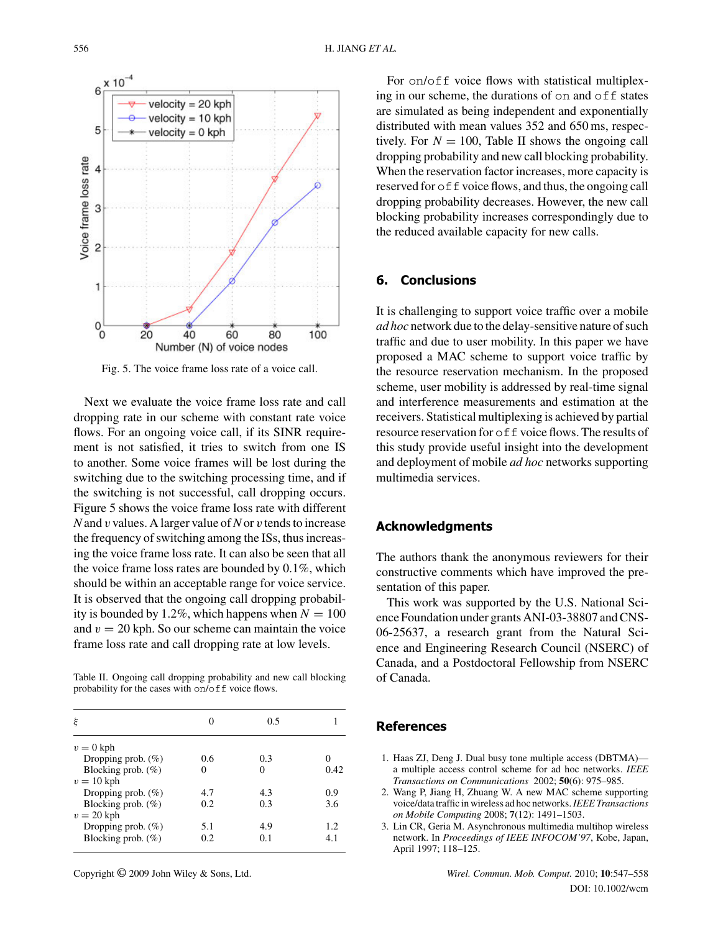<span id="page-9-0"></span>

Fig. 5. The voice frame loss rate of a voice call.

Next we evaluate the voice frame loss rate and call dropping rate in our scheme with constant rate voice flows. For an ongoing voice call, if its SINR requirement is not satisfied, it tries to switch from one IS to another. Some voice frames will be lost during the switching due to the switching processing time, and if the switching is not successful, call dropping occurs. Figure 5 shows the voice frame loss rate with different *N*and *v* values. A larger value of*N*or *v* tends to increase the frequency of switching among the ISs, thus increasing the voice frame loss rate. It can also be seen that all the voice frame loss rates are bounded by 0.1%, which should be within an acceptable range for voice service. It is observed that the ongoing call dropping probability is bounded by 1.2%, which happens when  $N = 100$ and  $v = 20$  kph. So our scheme can maintain the voice frame loss rate and call dropping rate at low levels.

Table II. Ongoing call dropping probability and new call blocking probability for the cases with on/off voice flows.

| ξ                     |                   | 0.5 |      |
|-----------------------|-------------------|-----|------|
| $v = 0$ kph           |                   |     |      |
| Dropping prob. $(\%)$ | 0.6               | 0.3 | 0    |
| Blocking prob. $(\%)$ | $\mathbf{\Omega}$ |     | 0.42 |
| $v = 10$ kph          |                   |     |      |
| Dropping prob. $(\%)$ | 4.7               | 4.3 | 0.9  |
| Blocking prob. $(\%)$ | 0.2               | 0.3 | 3.6  |
| $v = 20$ kph          |                   |     |      |
| Dropping prob. $(\%)$ | 5.1               | 4.9 | 1.2  |
| Blocking prob. $(\%)$ | 0.2               | 0.1 | 4.1  |
|                       |                   |     |      |

Copyright © 2009 John Wiley & Sons, Ltd. *Wirel. Commun. Mob. Comput.* 2010; **10**:547–558

For on/off voice flows with statistical multiplexing in our scheme, the durations of on and off states are simulated as being independent and exponentially distributed with mean values 352 and 650 ms, respectively. For  $N = 100$ , Table II shows the ongoing call dropping probability and new call blocking probability. When the reservation factor increases, more capacity is reserved for  $\circ$  f f voice flows, and thus, the ongoing call dropping probability decreases. However, the new call blocking probability increases correspondingly due to the reduced available capacity for new calls.

## **6. Conclusions**

It is challenging to support voice traffic over a mobile *ad hoc* network due to the delay-sensitive nature of such traffic and due to user mobility. In this paper we have proposed a MAC scheme to support voice traffic by the resource reservation mechanism. In the proposed scheme, user mobility is addressed by real-time signal and interference measurements and estimation at the receivers. Statistical multiplexing is achieved by partial resource reservation for  $\circ$  f f voice flows. The results of this study provide useful insight into the development and deployment of mobile *ad hoc* networks supporting multimedia services.

# **Acknowledgments**

The authors thank the anonymous reviewers for their constructive comments which have improved the presentation of this paper.

This work was supported by the U.S. National Science Foundation under grants ANI-03-38807 and CNS-06-25637, a research grant from the Natural Science and Engineering Research Council (NSERC) of Canada, and a Postdoctoral Fellowship from NSERC of Canada.

### **References**

- 1. Haas ZJ, Deng J. Dual busy tone multiple access (DBTMA) a multiple access control scheme for ad hoc networks. *IEEE Transactions on Communications* 2002; **50**(6): 975–985.
- 2. Wang P, Jiang H, Zhuang W. A new MAC scheme supporting voice/data traffic in wireless ad hoc networks.*IEEE Transactions on Mobile Computing* 2008; **7**(12): 1491–1503.
- 3. Lin CR, Geria M. Asynchronous multimedia multihop wireless network. In *Proceedings of IEEE INFOCOM'97*, Kobe, Japan, April 1997; 118–125.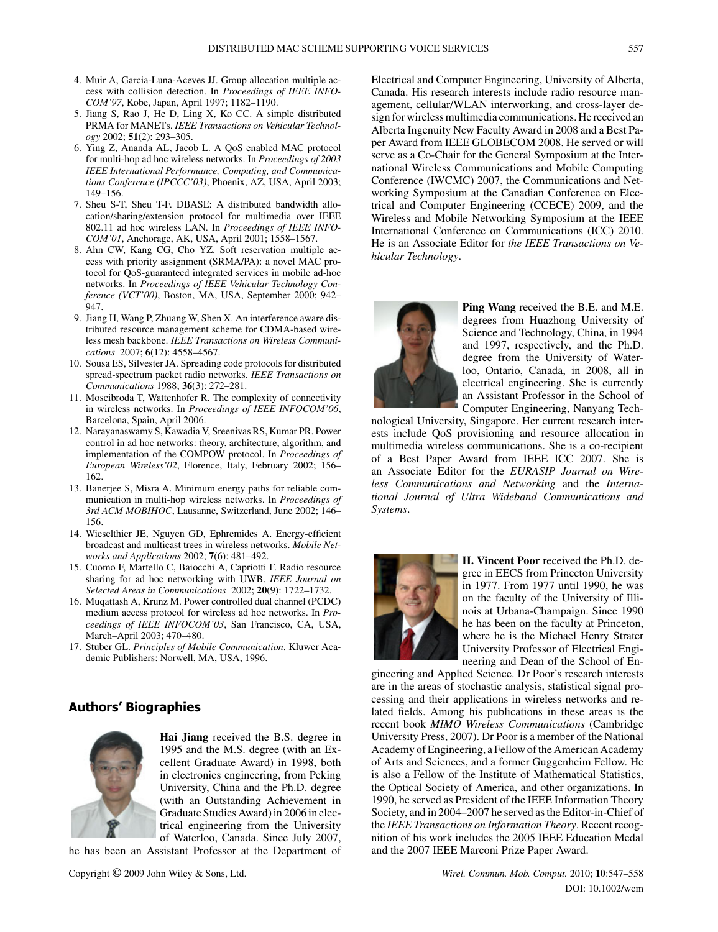- <span id="page-10-0"></span>4. Muir A, Garcia-Luna-Aceves JJ. Group allocation multiple access with collision detection. In *Proceedings of IEEE INFO-COM'97*, Kobe, Japan, April 1997; 1182–1190.
- 5. Jiang S, Rao J, He D, Ling X, Ko CC. A simple distributed PRMA for MANETs. *IEEE Transactions on Vehicular Technology* 2002; **51**(2): 293–305.
- 6. Ying Z, Ananda AL, Jacob L. A QoS enabled MAC protocol for multi-hop ad hoc wireless networks. In *Proceedings of 2003 IEEE International Performance, Computing, and Communications Conference (IPCCC'03)*, Phoenix, AZ, USA, April 2003; 149–156.
- 7. Sheu S-T, Sheu T-F. DBASE: A distributed bandwidth allocation/sharing/extension protocol for multimedia over IEEE 802.11 ad hoc wireless LAN. In *Proceedings of IEEE INFO-COM'01*, Anchorage, AK, USA, April 2001; 1558–1567.
- 8. Ahn CW, Kang CG, Cho YZ. Soft reservation multiple access with priority assignment (SRMA/PA): a novel MAC protocol for QoS-guaranteed integrated services in mobile ad-hoc networks. In *Proceedings of IEEE Vehicular Technology Conference (VCT'00)*, Boston, MA, USA, September 2000; 942– 947.
- 9. Jiang H, Wang P, Zhuang W, Shen X. An interference aware distributed resource management scheme for CDMA-based wireless mesh backbone. *IEEE Transactions on Wireless Communications* 2007; **6**(12): 4558–4567.
- 10. Sousa ES, Silvester JA. Spreading code protocols for distributed spread-spectrum packet radio networks. *IEEE Transactions on Communications* 1988; **36**(3): 272–281.
- 11. Moscibroda T, Wattenhofer R. The complexity of connectivity in wireless networks. In *Proceedings of IEEE INFOCOM'06*, Barcelona, Spain, April 2006.
- 12. Narayanaswamy S, Kawadia V, Sreenivas RS, Kumar PR. Power control in ad hoc networks: theory, architecture, algorithm, and implementation of the COMPOW protocol. In *Proceedings of European Wireless'02*, Florence, Italy, February 2002; 156– 162.
- 13. Banerjee S, Misra A. Minimum energy paths for reliable communication in multi-hop wireless networks. In *Proceedings of 3rd ACM MOBIHOC*, Lausanne, Switzerland, June 2002; 146– 156.
- 14. Wieselthier JE, Nguyen GD, Ephremides A. Energy-efficient broadcast and multicast trees in wireless networks. *Mobile Networks and Applications* 2002; **7**(6): 481–492.
- 15. Cuomo F, Martello C, Baiocchi A, Capriotti F. Radio resource sharing for ad hoc networking with UWB. *IEEE Journal on Selected Areas in Communications* 2002; **20**(9): 1722–1732.
- 16. Muqattash A, Krunz M. Power controlled dual channel (PCDC) medium access protocol for wireless ad hoc networks. In *Proceedings of IEEE INFOCOM'03*, San Francisco, CA, USA, March–April 2003; 470–480.
- 17. Stuber GL. *Principles of Mobile Communication*. Kluwer Academic Publishers: Norwell, MA, USA, 1996.

## **Authors' Biographies**



**Hai Jiang** received the B.S. degree in 1995 and the M.S. degree (with an Excellent Graduate Award) in 1998, both in electronics engineering, from Peking University, China and the Ph.D. degree (with an Outstanding Achievement in Graduate Studies Award) in 2006 in electrical engineering from the University of Waterloo, Canada. Since July 2007,

he has been an Assistant Professor at the Department of

Electrical and Computer Engineering, University of Alberta, Canada. His research interests include radio resource management, cellular/WLAN interworking, and cross-layer design for wireless multimedia communications. He received an Alberta Ingenuity New Faculty Award in 2008 and a Best Paper Award from IEEE GLOBECOM 2008. He served or will serve as a Co-Chair for the General Symposium at the International Wireless Communications and Mobile Computing Conference (IWCMC) 2007, the Communications and Networking Symposium at the Canadian Conference on Electrical and Computer Engineering (CCECE) 2009, and the Wireless and Mobile Networking Symposium at the IEEE International Conference on Communications (ICC) 2010. He is an Associate Editor for *the IEEE Transactions on Vehicular Technology*.



**Ping Wang** received the B.E. and M.E. degrees from Huazhong University of Science and Technology, China, in 1994 and 1997, respectively, and the Ph.D. degree from the University of Waterloo, Ontario, Canada, in 2008, all in electrical engineering. She is currently an Assistant Professor in the School of Computer Engineering, Nanyang Tech-

nological University, Singapore. Her current research interests include QoS provisioning and resource allocation in multimedia wireless communications. She is a co-recipient of a Best Paper Award from IEEE ICC 2007. She is an Associate Editor for the *EURASIP Journal on Wireless Communications and Networking* and the *International Journal of Ultra Wideband Communications and Systems*.



**H. Vincent Poor** received the Ph.D. degree in EECS from Princeton University in 1977. From 1977 until 1990, he was on the faculty of the University of Illinois at Urbana-Champaign. Since 1990 he has been on the faculty at Princeton, where he is the Michael Henry Strater University Professor of Electrical Engineering and Dean of the School of En-

gineering and Applied Science. Dr Poor's research interests are in the areas of stochastic analysis, statistical signal processing and their applications in wireless networks and related fields. Among his publications in these areas is the recent book *MIMO Wireless Communications* (Cambridge University Press, 2007). Dr Poor is a member of the National Academy of Engineering, a Fellow of the American Academy of Arts and Sciences, and a former Guggenheim Fellow. He is also a Fellow of the Institute of Mathematical Statistics, the Optical Society of America, and other organizations. In 1990, he served as President of the IEEE Information Theory Society, and in 2004–2007 he served as the Editor-in-Chief of the *IEEE Transactions on Information Theory*. Recent recognition of his work includes the 2005 IEEE Education Medal and the 2007 IEEE Marconi Prize Paper Award.